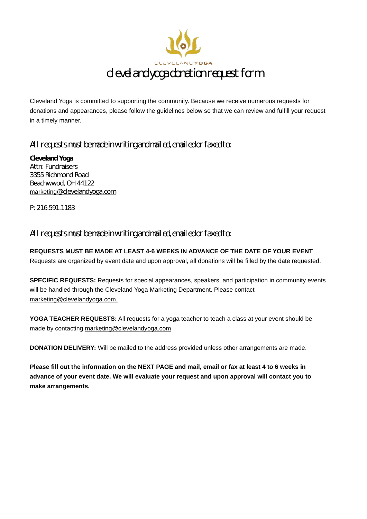

Cleveland Yoga is committed to supporting the community. Because we receive numerous requests for donations and appearances, please follow the guidelines below so that we can review and fulfill your request in a timely manner.

## All requests must be made in writing and mailed, emailed or faxed to:

**Cleveland Yoga** Attn: Fundraisers 3355 Richmond Road Beachwwod, OH 44122 marketing@clevelandyoga.com

P: 216.591.1183

## All requests must be made in writing and mailed, emailed or faxed to:

**REQUESTS MUST BE MADE AT LEAST 4-6 WEEKS IN ADVANCE OF THE DATE OF YOUR EVENT** Requests are organized by event date and upon approval, all donations will be filled by the date requested.

**SPECIFIC REQUESTS:** Requests for special appearances, speakers, and participation in community events will be handled through the Cleveland Yoga Marketing Department. Please contact marketing@clevelandyoga.com.

**YOGA TEACHER REQUESTS:** All requests for a yoga teacher to teach a class at your event should be made by contacting marketing@clevelandyoga.com

**DONATION DELIVERY:** Will be mailed to the address provided unless other arrangements are made.

**Please fill out the information on the NEXT PAGE and mail, email or fax at least 4 to 6 weeks in advance of your event date. We will evaluate your request and upon approval will contact you to make arrangements.**